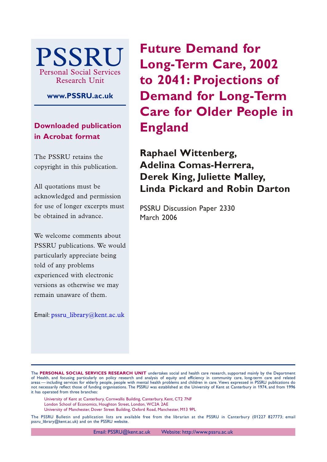

**www.PSSRU.ac.uk**

**Downloaded publication in Acrobat format**

The PSSRU retains the copyright in this publication.

All quotations must be acknowledged and permission for use of longer excerpts must be obtained in advance.

We welcome comments about PSSRU publications. We would particularly appreciate being told of any problems experienced with electronic versions as otherwise we may remain unaware of them.

Email: [pssru\\_library@kent.ac.uk](mailto:pssru_library@kent.ac.uk)

**Future Demand for Long-Term Care, 2002 to 2041: Projections of Demand for Long-Term Care for Older People in England**

**Raphael Wittenberg, Adelina Comas-Herrera, Derek King, Juliette Malley, Linda Pickard and Robin Darton**

PSSRU Discussion Paper 2330 March 2006

The **PERSONAL SOCIAL SERVICES RESEARCH UNIT** undertakes social and health care research, supported mainly by the Department of Health, and focusing particularly on policy research and analysis of equity and efficiency in community care, long-term care and related areas — including services for elderly people, people with mental health problems and children in care. Views expressed in PSSRU publications do not necessarily reflect those of funding organisations. The PSSRU was established at the University of Kent at Canterbury in 1974, and from 1996 it has operated from three branches:

University of Kent at Canterbury, Cornwallis Building, Canterbury, Kent, CT2 7NF

London School of Economics, Houghton Street, London, WC2A 2AE

University of Manchester, Dover Street Building, Oxford Road, Manchester, M13 9PL

The PSSRU Bulletin and publication lists are available free from the librarian at the PSSRU in Canterbury (01227 827773; email pssru\_library@kent.ac.uk) and on the PSSRU website.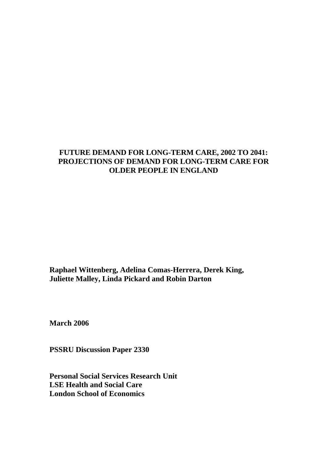# **FUTURE DEMAND FOR LONG-TERM CARE, 2002 TO 2041: PROJECTIONS OF DEMAND FOR LONG-TERM CARE FOR OLDER PEOPLE IN ENGLAND**

**Raphael Wittenberg, Adelina Comas-Herrera, Derek King, Juliette Malley, Linda Pickard and Robin Darton** 

**March 2006** 

**PSSRU Discussion Paper 2330** 

**Personal Social Services Research Unit LSE Health and Social Care London School of Economics**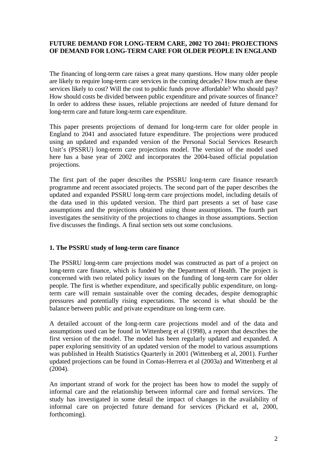## **FUTURE DEMAND FOR LONG-TERM CARE, 2002 TO 2041: PROJECTIONS OF DEMAND FOR LONG-TERM CARE FOR OLDER PEOPLE IN ENGLAND**

The financing of long-term care raises a great many questions. How many older people are likely to require long-term care services in the coming decades? How much are these services likely to cost? Will the cost to public funds prove affordable? Who should pay? How should costs be divided between public expenditure and private sources of finance? In order to address these issues, reliable projections are needed of future demand for long-term care and future long-term care expenditure.

This paper presents projections of demand for long-term care for older people in England to 2041 and associated future expenditure. The projections were produced using an updated and expanded version of the Personal Social Services Research Unit's (PSSRU) long-term care projections model. The version of the model used here has a base year of 2002 and incorporates the 2004-based official population projections.

The first part of the paper describes the PSSRU long-term care finance research programme and recent associated projects. The second part of the paper describes the updated and expanded PSSRU long-term care projections model, including details of the data used in this updated version. The third part presents a set of base case assumptions and the projections obtained using those assumptions. The fourth part investigates the sensitivity of the projections to changes in those assumptions. Section five discusses the findings. A final section sets out some conclusions.

## **1. The PSSRU study of long-term care finance**

The PSSRU long-term care projections model was constructed as part of a project on long-term care finance, which is funded by the Department of Health. The project is concerned with two related policy issues on the funding of long-term care for older people. The first is whether expenditure, and specifically public expenditure, on longterm care will remain sustainable over the coming decades, despite demographic pressures and potentially rising expectations. The second is what should be the balance between public and private expenditure on long-term care.

A detailed account of the long-term care projections model and of the data and assumptions used can be found in Wittenberg et al (1998), a report that describes the first version of the model. The model has been regularly updated and expanded. A paper exploring sensitivity of an updated version of the model to various assumptions was published in Health Statistics Quarterly in 2001 (Wittenberg et al, 2001). Further updated projections can be found in Comas-Herrera et al (2003a) and Wittenberg et al (2004).

An important strand of work for the project has been how to model the supply of informal care and the relationship between informal care and formal services. The study has investigated in some detail the impact of changes in the availability of informal care on projected future demand for services (Pickard et al, 2000, forthcoming).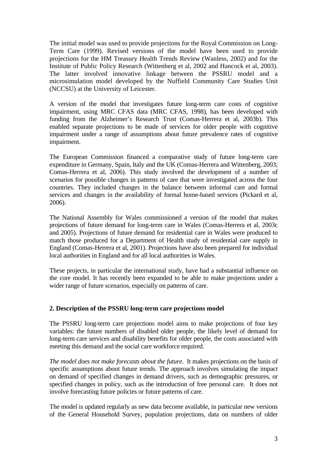The initial model was used to provide projections for the Royal Commission on Long-Term Care (1999). Revised versions of the model have been used to provide projections for the HM Treasury Health Trends Review (Wanless, 2002) and for the Institute of Public Policy Research (Wittenberg et al, 2002 and Hancock et al, 2003). The latter involved innovative linkage between the PSSRU model and a microsimulation model developed by the Nuffield Community Care Studies Unit (NCCSU) at the University of Leicester.

A version of the model that investigates future long-term care costs of cognitive impairment, using MRC CFAS data (MRC CFAS, 1998), has been developed with funding from the Alzheimer's Research Trust (Comas-Herrera et al, 2003b). This enabled separate projections to be made of services for older people with cognitive impairment under a range of assumptions about future prevalence rates of cognitive impairment.

The European Commission financed a comparative study of future long-term care expenditure in Germany, Spain, Italy and the UK (Comas-Herrera and Wittenberg, 2003; Comas-Herrera et al, 2006). This study involved the development of a number of scenarios for possible changes in patterns of care that were investigated across the four countries. They included changes in the balance between informal care and formal services and changes in the availability of formal home-based services (Pickard et al, 2006).

The National Assembly for Wales commissioned a version of the model that makes projections of future demand for long-term care in Wales (Comas-Herrera et al, 2003c and 2005). Projections of future demand for residential care in Wales were produced to match those produced for a Department of Health study of residential care supply in England (Comas-Herrera et al, 2001). Projections have also been prepared for individual local authorities in England and for all local authorities in Wales.

These projects, in particular the international study, have had a substantial influence on the core model. It has recently been expanded to be able to make projections under a wider range of future scenarios, especially on patterns of care.

## **2. Description of the PSSRU long-term care projections model**

The PSSRU long-term care projections model aims to make projections of four key variables: the future numbers of disabled older people, the likely level of demand for long-term care services and disability benefits for older people, the costs associated with meeting this demand and the social care workforce required.

*The model does not make forecasts about the future*. It makes projections on the basis of specific assumptions about future trends. The approach involves simulating the impact on demand of specified changes in demand drivers, such as demographic pressures, or specified changes in policy, such as the introduction of free personal care. It does not involve forecasting future policies or future patterns of care.

The model is updated regularly as new data become available, in particular new versions of the General Household Survey, population projections, data on numbers of older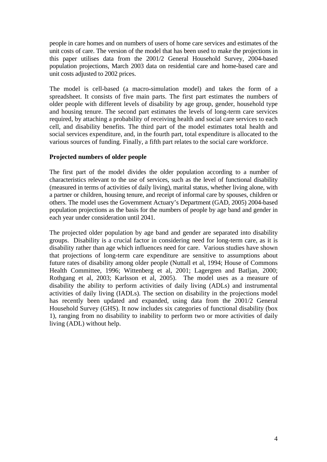people in care homes and on numbers of users of home care services and estimates of the unit costs of care. The version of the model that has been used to make the projections in this paper utilises data from the 2001/2 General Household Survey, 2004-based population projections, March 2003 data on residential care and home-based care and unit costs adjusted to 2002 prices.

The model is cell-based (a macro-simulation model) and takes the form of a spreadsheet. It consists of five main parts. The first part estimates the numbers of older people with different levels of disability by age group, gender, household type and housing tenure. The second part estimates the levels of long-term care services required, by attaching a probability of receiving health and social care services to each cell, and disability benefits. The third part of the model estimates total health and social services expenditure, and, in the fourth part, total expenditure is allocated to the various sources of funding. Finally, a fifth part relates to the social care workforce.

### **Projected numbers of older people**

The first part of the model divides the older population according to a number of characteristics relevant to the use of services, such as the level of functional disability (measured in terms of activities of daily living), marital status, whether living alone, with a partner or children, housing tenure, and receipt of informal care by spouses, children or others. The model uses the Government Actuary's Department (GAD, 2005) 2004-based population projections as the basis for the numbers of people by age band and gender in each year under consideration until 2041.

The projected older population by age band and gender are separated into disability groups. Disability is a crucial factor in considering need for long-term care, as it is disability rather than age which influences need for care. Various studies have shown that projections of long-term care expenditure are sensitive to assumptions about future rates of disability among older people (Nuttall et al*,* 1994; House of Commons Health Committee, 1996; Wittenberg et al, 2001; Lagergren and Batljan, 2000; Rothgang et al, 2003; Karlsson et al, 2005). The model uses as a measure of disability the ability to perform activities of daily living (ADLs) and instrumental activities of daily living (IADLs). The section on disability in the projections model has recently been updated and expanded, using data from the 2001/2 General Household Survey (GHS). It now includes six categories of functional disability (box 1), ranging from no disability to inability to perform two or more activities of daily living (ADL) without help.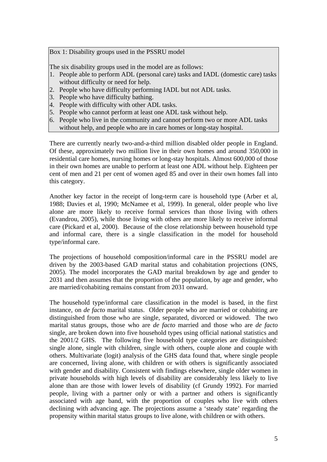Box 1: Disability groups used in the PSSRU model

The six disability groups used in the model are as follows:

- 1. People able to perform ADL (personal care) tasks and IADL (domestic care) tasks without difficulty or need for help.
- 2. People who have difficulty performing IADL but not ADL tasks.
- 3. People who have difficulty bathing.
- 4. People with difficulty with other ADL tasks.
- 5. People who cannot perform at least one ADL task without help.
- 6. People who live in the community and cannot perform two or more ADL tasks without help, and people who are in care homes or long-stay hospital.

There are currently nearly two-and-a-third million disabled older people in England. Of these, approximately two million live in their own homes and around 350,000 in residential care homes, nursing homes or long-stay hospitals. Almost 600,000 of those in their own homes are unable to perform at least one ADL without help. Eighteen per cent of men and 21 per cent of women aged 85 and over in their own homes fall into this category.

Another key factor in the receipt of long-term care is household type (Arber et al, 1988; Davies et al, 1990; McNamee et al, 1999). In general, older people who live alone are more likely to receive formal services than those living with others (Evandrou, 2005), while those living with others are more likely to receive informal care (Pickard et al, 2000). Because of the close relationship between household type and informal care, there is a single classification in the model for household type/informal care.

The projections of household composition/informal care in the PSSRU model are driven by the 2003-based GAD marital status and cohabitation projections (ONS, 2005). The model incorporates the GAD marital breakdown by age and gender to 2031 and then assumes that the proportion of the population, by age and gender, who are married/cohabiting remains constant from 2031 onward.

The household type/informal care classification in the model is based, in the first instance, on *de facto* marital status. Older people who are married or cohabiting are distinguished from those who are single, separated, divorced or widowed. The two marital status groups, those who are *de facto* married and those who are *de facto* single, are broken down into five household types using official national statistics and the 2001/2 GHS. The following five household type categories are distinguished: single alone, single with children, single with others, couple alone and couple with others. Multivariate (logit) analysis of the GHS data found that, where single people are concerned, living alone, with children or with others is significantly associated with gender and disability. Consistent with findings elsewhere, single older women in private households with high levels of disability are considerably less likely to live alone than are those with lower levels of disability (cf Grundy 1992). For married people, living with a partner only or with a partner and others is significantly associated with age band, with the proportion of couples who live with others declining with advancing age. The projections assume a 'steady state' regarding the propensity within marital status groups to live alone, with children or with others.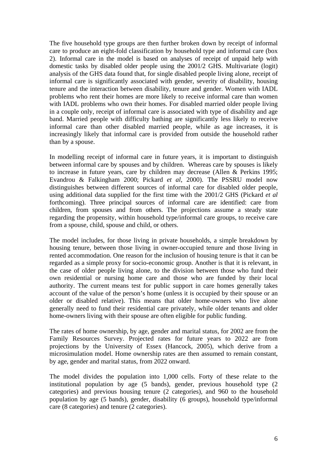The five household type groups are then further broken down by receipt of informal care to produce an eight-fold classification by household type and informal care (box 2). Informal care in the model is based on analyses of receipt of unpaid help with domestic tasks by disabled older people using the 2001/2 GHS. Multivariate (logit) analysis of the GHS data found that, for single disabled people living alone, receipt of informal care is significantly associated with gender, severity of disability, housing tenure and the interaction between disability, tenure and gender. Women with IADL problems who rent their homes are more likely to receive informal care than women with IADL problems who own their homes. For disabled married older people living in a couple only, receipt of informal care is associated with type of disability and age band. Married people with difficulty bathing are significantly less likely to receive informal care than other disabled married people, while as age increases, it is increasingly likely that informal care is provided from outside the household rather than by a spouse.

In modelling receipt of informal care in future years, it is important to distinguish between informal care by spouses and by children. Whereas care by spouses is likely to increase in future years, care by children may decrease (Allen & Perkins 1995; Evandrou & Falkingham 2000; Pickard *et al*, 2000). The PSSRU model now distinguishes between different sources of informal care for disabled older people, using additional data supplied for the first time with the 2001/2 GHS (Pickard *et al* forthcoming). Three principal sources of informal care are identified: care from children, from spouses and from others. The projections assume a steady state regarding the propensity, within household type/informal care groups, to receive care from a spouse, child, spouse and child, or others.

The model includes, for those living in private households, a simple breakdown by housing tenure, between those living in owner-occupied tenure and those living in rented accommodation. One reason for the inclusion of housing tenure is that it can be regarded as a simple proxy for socio-economic group. Another is that it is relevant, in the case of older people living alone, to the division between those who fund their own residential or nursing home care and those who are funded by their local authority. The current means test for public support in care homes generally takes account of the value of the person's home (unless it is occupied by their spouse or an older or disabled relative). This means that older home-owners who live alone generally need to fund their residential care privately, while older tenants and older home-owners living with their spouse are often eligible for public funding.

The rates of home ownership, by age, gender and marital status, for 2002 are from the Family Resources Survey. Projected rates for future years to 2022 are from projections by the University of Essex (Hancock, 2005), which derive from a microsimulation model. Home ownership rates are then assumed to remain constant, by age, gender and marital status, from 2022 onward.

The model divides the population into 1,000 cells. Forty of these relate to the institutional population by age (5 bands), gender, previous household type (2 categories) and previous housing tenure (2 categories), and 960 to the household population by age (5 bands), gender, disability (6 groups), household type/informal care (8 categories) and tenure (2 categories).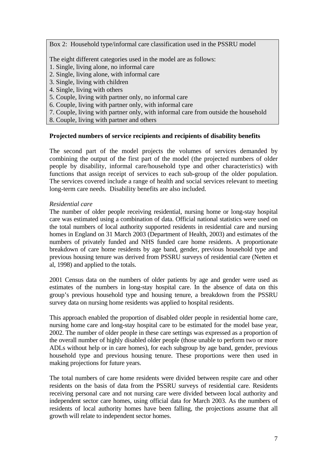Box 2: Household type/informal care classification used in the PSSRU model

The eight different categories used in the model are as follows:

- 1. Single, living alone, no informal care
- 2. Single, living alone, with informal care
- 3. Single, living with children
- 4. Single, living with others
- 5. Couple, living with partner only, no informal care
- 6. Couple, living with partner only, with informal care
- 7. Couple, living with partner only, with informal care from outside the household
- 8. Couple, living with partner and others

### **Projected numbers of service recipients and recipients of disability benefits**

The second part of the model projects the volumes of services demanded by combining the output of the first part of the model (the projected numbers of older people by disability, informal care/household type and other characteristics) with functions that assign receipt of services to each sub-group of the older population. The services covered include a range of health and social services relevant to meeting long-term care needs. Disability benefits are also included.

### *Residential care*

The number of older people receiving residential, nursing home or long-stay hospital care was estimated using a combination of data. Official national statistics were used on the total numbers of local authority supported residents in residential care and nursing homes in England on 31 March 2003 (Department of Health, 2003) and estimates of the numbers of privately funded and NHS funded care home residents. A proportionate breakdown of care home residents by age band, gender, previous household type and previous housing tenure was derived from PSSRU surveys of residential care (Netten et al, 1998) and applied to the totals.

2001 Census data on the numbers of older patients by age and gender were used as estimates of the numbers in long-stay hospital care. In the absence of data on this group's previous household type and housing tenure, a breakdown from the PSSRU survey data on nursing home residents was applied to hospital residents.

This approach enabled the proportion of disabled older people in residential home care, nursing home care and long-stay hospital care to be estimated for the model base year, 2002. The number of older people in these care settings was expressed as a proportion of the overall number of highly disabled older people (those unable to perform two or more ADLs without help or in care homes), for each subgroup by age band, gender, previous household type and previous housing tenure. These proportions were then used in making projections for future years.

The total numbers of care home residents were divided between respite care and other residents on the basis of data from the PSSRU surveys of residential care. Residents receiving personal care and not nursing care were divided between local authority and independent sector care homes, using official data for March 2003. As the numbers of residents of local authority homes have been falling, the projections assume that all growth will relate to independent sector homes.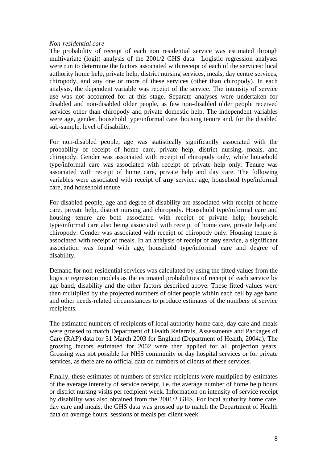#### *Non-residential care*

The probability of receipt of each non residential service was estimated through multivariate (logit) analysis of the 2001/2 GHS data. Logistic regression analyses were run to determine the factors associated with receipt of each of the services: local authority home help, private help, district nursing services, meals, day centre services, chiropody, and any one or more of these services (other than chiropody). In each analysis, the dependent variable was receipt of the service. The intensity of service use was not accounted for at this stage. Separate analyses were undertaken for disabled and non-disabled older people, as few non-disabled older people received services other than chiropody and private domestic help. The independent variables were age, gender, household type/informal care, housing tenure and, for the disabled sub-sample, level of disability.

For non-disabled people, age was statistically significantly associated with the probability of receipt of home care, private help, district nursing, meals, and chiropody. Gender was associated with receipt of chiropody only, while household type/informal care was associated with receipt of private help only. Tenure was associated with receipt of home care, private help and day care. The following variables were associated with receipt of **any** service: age, household type/informal care, and household tenure.

For disabled people, age and degree of disability are associated with receipt of home care, private help, district nursing and chiropody. Household type/informal care and housing tenure are both associated with receipt of private help; household type/informal care also being associated with receipt of home care, private help and chiropody. Gender was associated with receipt of chiropody only. Housing tenure is associated with receipt of meals. In an analysis of receipt of **any** service, a significant association was found with age, household type/informal care and degree of disability.

Demand for non-residential services was calculated by using the fitted values from the logistic regression models as the estimated probabilities of receipt of each service by age band, disability and the other factors described above. These fitted values were then multiplied by the projected numbers of older people within each cell by age band and other needs-related circumstances to produce estimates of the numbers of service recipients.

The estimated numbers of recipients of local authority home care, day care and meals were grossed to match Department of Health Referrals, Assessments and Packages of Care (RAP) data for 31 March 2003 for England (Department of Health, 2004a). The grossing factors estimated for 2002 were then applied for all projection years. Grossing was not possible for NHS community or day hospital services or for private services, as there are no official data on numbers of clients of these services.

Finally, these estimates of numbers of service recipients were multiplied by estimates of the average intensity of service receipt, i.e. the average number of home help hours or district nursing visits per recipient week. Information on intensity of service receipt by disability was also obtained from the 2001/2 GHS. For local authority home care, day care and meals, the GHS data was grossed up to match the Department of Health data on average hours, sessions or meals per client week.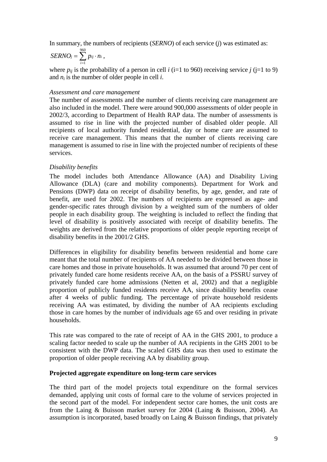In summary, the numbers of recipients (*SERNO*) of each service (*j*) was estimated as:

$$
SERNO_j=\sum_{i=1}^{960} p_{ij}\cdot n_i,
$$

where  $p_{ij}$  is the probability of a person in cell *i* (i=1 to 960) receiving service *j* (j=1 to 9) and  $n_i$  is the number of older people in cell  $i$ .

#### *Assessment and care management*

The number of assessments and the number of clients receiving care management are also included in the model. There were around 900,000 assessments of older people in 2002/3, according to Department of Health RAP data. The number of assessments is assumed to rise in line with the projected number of disabled older people. All recipients of local authority funded residential, day or home care are assumed to receive care management. This means that the number of clients receiving care management is assumed to rise in line with the projected number of recipients of these services.

#### *Disability benefits*

The model includes both Attendance Allowance (AA) and Disability Living Allowance (DLA) (care and mobility components). Department for Work and Pensions (DWP) data on receipt of disability benefits, by age, gender, and rate of benefit, are used for 2002. The numbers of recipients are expressed as age- and gender-specific rates through division by a weighted sum of the numbers of older people in each disability group. The weighting is included to reflect the finding that level of disability is positively associated with receipt of disability benefits. The weights are derived from the relative proportions of older people reporting receipt of disability benefits in the 2001/2 GHS.

Differences in eligibility for disability benefits between residential and home care meant that the total number of recipients of AA needed to be divided between those in care homes and those in private households. It was assumed that around 70 per cent of privately funded care home residents receive AA, on the basis of a PSSRU survey of privately funded care home admissions (Netten et al, 2002) and that a negligible proportion of publicly funded residents receive AA, since disability benefits cease after 4 weeks of public funding. The percentage of private household residents receiving AA was estimated, by dividing the number of AA recipients excluding those in care homes by the number of individuals age 65 and over residing in private households.

This rate was compared to the rate of receipt of AA in the GHS 2001, to produce a scaling factor needed to scale up the number of AA recipients in the GHS 2001 to be consistent with the DWP data. The scaled GHS data was then used to estimate the proportion of older people receiving AA by disability group.

#### **Projected aggregate expenditure on long-term care services**

The third part of the model projects total expenditure on the formal services demanded, applying unit costs of formal care to the volume of services projected in the second part of the model. For independent sector care homes, the unit costs are from the Laing & Buisson market survey for 2004 (Laing & Buisson, 2004). An assumption is incorporated, based broadly on Laing & Buisson findings, that privately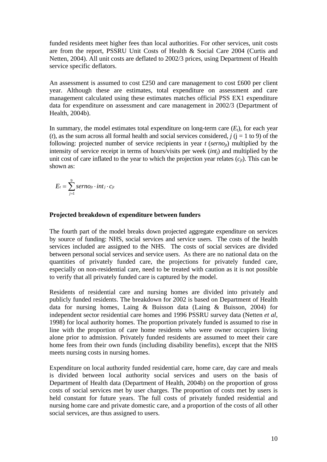funded residents meet higher fees than local authorities. For other services, unit costs are from the report, PSSRU Unit Costs of Health & Social Care 2004 (Curtis and Netten, 2004). All unit costs are deflated to 2002/3 prices, using Department of Health service specific deflators.

An assessment is assumed to cost £250 and care management to cost £600 per client year. Although these are estimates, total expenditure on assessment and care management calculated using these estimates matches official PSS EX1 expenditure data for expenditure on assessment and care management in 2002/3 (Department of Health, 2004b).

In summary, the model estimates total expenditure on long-term care  $(E_t)$ , for each year (*t*), as the sum across all formal health and social services considered,  $j$  ( $j = 1$  to 9) of the following: projected number of service recipients in year  $t$  (*serno<sub>it</sub>*) multiplied by the intensity of service receipt in terms of hours/visits per week (*intj*) and multiplied by the unit cost of care inflated to the year to which the projection year relates  $(c_{it})$ . This can be shown as:

$$
E_t = \sum_{j=1}^{9} \text{serno}_{jt} \cdot \text{int}_{j} \cdot c_{jt}
$$

#### **Projected breakdown of expenditure between funders**

The fourth part of the model breaks down projected aggregate expenditure on services by source of funding: NHS, social services and service users. The costs of the health services included are assigned to the NHS. The costs of social services are divided between personal social services and service users. As there are no national data on the quantities of privately funded care, the projections for privately funded care, especially on non-residential care, need to be treated with caution as it is not possible to verify that all privately funded care is captured by the model.

Residents of residential care and nursing homes are divided into privately and publicly funded residents. The breakdown for 2002 is based on Department of Health data for nursing homes, Laing & Buisson data (Laing & Buisson, 2004) for independent sector residential care homes and 1996 PSSRU survey data (Netten *et al*, 1998) for local authority homes. The proportion privately funded is assumed to rise in line with the proportion of care home residents who were owner occupiers living alone prior to admission. Privately funded residents are assumed to meet their care home fees from their own funds (including disability benefits), except that the NHS meets nursing costs in nursing homes.

Expenditure on local authority funded residential care, home care, day care and meals is divided between local authority social services and users on the basis of Department of Health data (Department of Health, 2004b) on the proportion of gross costs of social services met by user charges. The proportion of costs met by users is held constant for future years. The full costs of privately funded residential and nursing home care and private domestic care, and a proportion of the costs of all other social services, are thus assigned to users.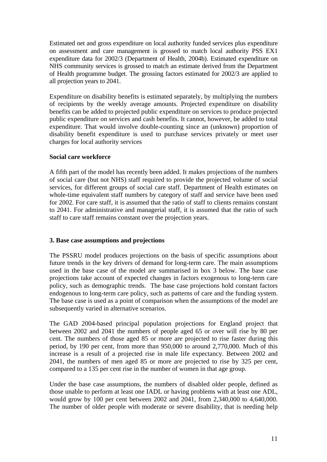Estimated net and gross expenditure on local authority funded services plus expenditure on assessment and care management is grossed to match local authority PSS EX1 expenditure data for 2002/3 (Department of Health, 2004b). Estimated expenditure on NHS community services is grossed to match an estimate derived from the Department of Health programme budget. The grossing factors estimated for 2002/3 are applied to all projection years to 2041.

Expenditure on disability benefits is estimated separately, by multiplying the numbers of recipients by the weekly average amounts. Projected expenditure on disability benefits can be added to projected public expenditure on services to produce projected public expenditure on services and cash benefits. It cannot, however, be added to total expenditure. That would involve double-counting since an (unknown) proportion of disability benefit expenditure is used to purchase services privately or meet user charges for local authority services

## **Social care workforce**

A fifth part of the model has recently been added. It makes projections of the numbers of social care (but not NHS) staff required to provide the projected volume of social services, for different groups of social care staff. Department of Health estimates on whole-time equivalent staff numbers by category of staff and service have been used for 2002. For care staff, it is assumed that the ratio of staff to clients remains constant to 2041. For administrative and managerial staff, it is assumed that the ratio of such staff to care staff remains constant over the projection years.

### **3. Base case assumptions and projections**

The PSSRU model produces projections on the basis of specific assumptions about future trends in the key drivers of demand for long-term care. The main assumptions used in the base case of the model are summarised in box 3 below. The base case projections take account of expected changes in factors exogenous to long-term care policy, such as demographic trends. The base case projections hold constant factors endogenous to long-term care policy, such as patterns of care and the funding system. The base case is used as a point of comparison when the assumptions of the model are subsequently varied in alternative scenarios.

The GAD 2004-based principal population projections for England project that between 2002 and 2041 the numbers of people aged 65 or over will rise by 80 per cent. The numbers of those aged 85 or more are projected to rise faster during this period, by 190 per cent, from more than 950,000 to around 2,770,000. Much of this increase is a result of a projected rise in male life expectancy. Between 2002 and 2041, the numbers of men aged 85 or more are projected to rise by 325 per cent, compared to a 135 per cent rise in the number of women in that age group.

Under the base case assumptions, the numbers of disabled older people, defined as those unable to perform at least one IADL or having problems with at least one ADL, would grow by 100 per cent between 2002 and 2041, from 2,340,000 to 4,640,000. The number of older people with moderate or severe disability, that is needing help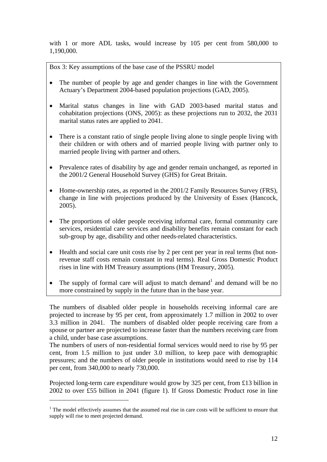with 1 or more ADL tasks, would increase by 105 per cent from 580,000 to 1,190,000.

Box 3: Key assumptions of the base case of the PSSRU model

- The number of people by age and gender changes in line with the Government Actuary's Department 2004-based population projections (GAD, 2005).
- Marital status changes in line with GAD 2003-based marital status and cohabitation projections (ONS, 2005): as these projections run to 2032, the 2031 marital status rates are applied to 2041.
- There is a constant ratio of single people living alone to single people living with their children or with others and of married people living with partner only to married people living with partner and others.
- Prevalence rates of disability by age and gender remain unchanged, as reported in the 2001/2 General Household Survey (GHS) for Great Britain.
- Home-ownership rates, as reported in the 2001/2 Family Resources Survey (FRS), change in line with projections produced by the University of Essex (Hancock, 2005).
- The proportions of older people receiving informal care, formal community care services, residential care services and disability benefits remain constant for each sub-group by age, disability and other needs-related characteristics.
- Health and social care unit costs rise by 2 per cent per year in real terms (but nonrevenue staff costs remain constant in real terms). Real Gross Domestic Product rises in line with HM Treasury assumptions (HM Treasury, 2005).
- The supply of formal care will adjust to match demand<sup>[1](#page-12-0)</sup> and demand will be no more constrained by supply in the future than in the base year.

The numbers of disabled older people in households receiving informal care are projected to increase by 95 per cent, from approximately 1.7 million in 2002 to over 3.3 million in 2041. The numbers of disabled older people receiving care from a spouse or partner are projected to increase faster than the numbers receiving care from a child, under base case assumptions.

The numbers of users of non-residential formal services would need to rise by 95 per cent, from 1.5 million to just under 3.0 million, to keep pace with demographic pressures; and the numbers of older people in institutions would need to rise by 114 per cent, from 340,000 to nearly 730,000.

Projected long-term care expenditure would grow by 325 per cent, from £13 billion in 2002 to over £55 billion in 2041 (figure 1). If Gross Domestic Product rose in line

 $\overline{a}$ 

<span id="page-12-0"></span> $1$  The model effectively assumes that the assumed real rise in care costs will be sufficient to ensure that supply will rise to meet projected demand.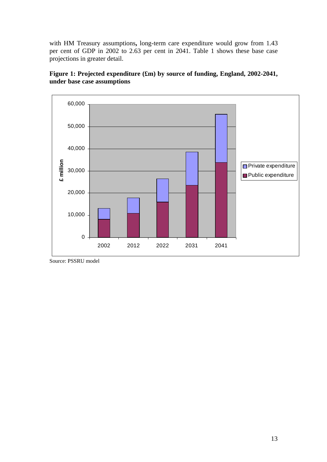with HM Treasury assumptions**,** long-term care expenditure would grow from 1.43 per cent of GDP in 2002 to 2.63 per cent in 2041. Table 1 shows these base case projections in greater detail.





Source: PSSRU model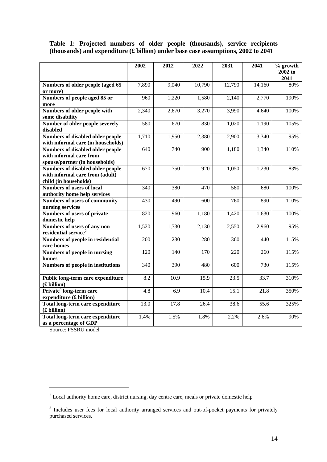## **Table 1: Projected numbers of older people (thousands), service recipients (thousands) and expenditure (£ billion) under base case assumptions, 2002 to 2041**

|                                                                   | 2002  | 2012  | 2022   | 2031   | 2041   | % growth        |
|-------------------------------------------------------------------|-------|-------|--------|--------|--------|-----------------|
|                                                                   |       |       |        |        |        | 2002 to<br>2041 |
| Numbers of older people (aged 65                                  | 7,890 | 9,040 | 10,790 | 12,790 | 14,160 | 80%             |
| or more)                                                          |       |       |        |        |        |                 |
| Numbers of people aged 85 or<br>more                              | 960   | 1,220 | 1,580  | 2,140  | 2,770  | 190%            |
| Numbers of older people with<br>some disability                   | 2,340 | 2,670 | 3,270  | 3,990  | 4,640  | 100%            |
| Number of older people severely                                   | 580   | 670   | 830    | 1,020  | 1,190  | 105%            |
| disabled                                                          |       |       |        |        |        |                 |
| Numbers of disabled older people                                  | 1,710 | 1,950 | 2,380  | 2,900  | 3,340  | 95%             |
| with informal care (in households)                                |       |       |        |        |        |                 |
| <b>Numbers of disabled older people</b>                           | 640   | 740   | 900    | 1,180  | 1,340  | 110%            |
| with informal care from                                           |       |       |        |        |        |                 |
| spouse/partner (in households)                                    |       |       |        |        |        |                 |
| Numbers of disabled older people                                  | 670   | 750   | 920    | 1,050  | 1,230  | 83%             |
| with informal care from (adult)                                   |       |       |        |        |        |                 |
| child (in households)                                             |       |       |        |        |        |                 |
| <b>Numbers of users of local</b>                                  | 340   | 380   | 470    | 580    | 680    | 100%            |
| authority home help services                                      |       |       |        |        |        |                 |
| Numbers of users of community                                     | 430   | 490   | 600    | 760    | 890    | 110%            |
| nursing services                                                  |       |       |        |        |        |                 |
| Numbers of users of private                                       | 820   | 960   | 1,180  | 1,420  | 1,630  | 100%            |
| domestic help                                                     |       |       |        |        |        |                 |
| Numbers of users of any non-                                      | 1,520 | 1,730 | 2,130  | 2,550  | 2,960  | 95%             |
| residential service <sup>2</sup>                                  |       |       |        |        |        |                 |
| Numbers of people in residential<br>care homes                    | 200   | 230   | 280    | 360    | 440    | 115%            |
| <b>Numbers of people in nursing</b>                               | 120   | 140   | 170    | 220    | 260    | 115%            |
| homes                                                             |       |       |        |        |        |                 |
| <b>Numbers of people in institutions</b>                          | 340   | 390   | 480    | 600    | 730    | 115%            |
| Public long-term care expenditure<br>(£ billion)                  | 8.2   | 10.9  | 15.9   | 23.5   | 33.7   | 310%            |
| Private <sup>3</sup> long-term care                               | 4.8   | 6.9   | 10.4   | 15.1   | 21.8   | 350%            |
| expenditure (£ billion)                                           |       |       |        |        |        |                 |
| Total long-term care expenditure<br>(£ billion)                   | 13.0  | 17.8  | 26.4   | 38.6   | 55.6   | 325%            |
| <b>Total long-term care expenditure</b><br>as a percentage of GDP | 1.4%  | 1.5%  | 1.8%   | 2.2%   | 2.6%   | 90%             |

Source: PSSRU model

 $\overline{a}$ 

<span id="page-14-0"></span> $2^{2}$  Local authority home care, district nursing, day centre care, meals or private domestic help

<span id="page-14-1"></span><sup>&</sup>lt;sup>3</sup> Includes user fees for local authority arranged services and out-of-pocket payments for privately purchased services.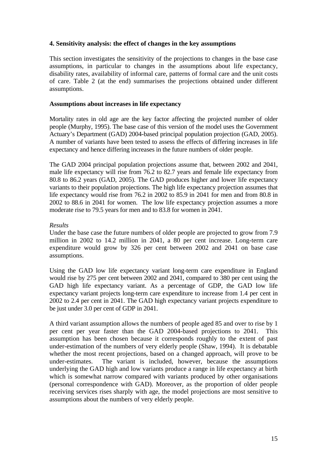### **4. Sensitivity analysis: the effect of changes in the key assumptions**

This section investigates the sensitivity of the projections to changes in the base case assumptions, in particular to changes in the assumptions about life expectancy, disability rates, availability of informal care, patterns of formal care and the unit costs of care. Table 2 (at the end) summarises the projections obtained under different assumptions.

### **Assumptions about increases in life expectancy**

Mortality rates in old age are the key factor affecting the projected number of older people (Murphy, 1995). The base case of this version of the model uses the Government Actuary's Department (GAD) 2004-based principal population projection (GAD, 2005). A number of variants have been tested to assess the effects of differing increases in life expectancy and hence differing increases in the future numbers of older people.

The GAD 2004 principal population projections assume that, between 2002 and 2041, male life expectancy will rise from 76.2 to 82.7 years and female life expectancy from 80.8 to 86.2 years (GAD, 2005). The GAD produces higher and lower life expectancy variants to their population projections. The high life expectancy projection assumes that life expectancy would rise from 76.2 in 2002 to 85.9 in 2041 for men and from 80.8 in 2002 to 88.6 in 2041 for women. The low life expectancy projection assumes a more moderate rise to 79.5 years for men and to 83.8 for women in 2041.

### *Results*

Under the base case the future numbers of older people are projected to grow from 7.9 million in 2002 to 14.2 million in 2041, a 80 per cent increase. Long-term care expenditure would grow by 326 per cent between 2002 and 2041 on base case assumptions.

Using the GAD low life expectancy variant long-term care expenditure in England would rise by 275 per cent between 2002 and 2041, compared to 380 per cent using the GAD high life expectancy variant. As a percentage of GDP, the GAD low life expectancy variant projects long-term care expenditure to increase from 1.4 per cent in 2002 to 2.4 per cent in 2041. The GAD high expectancy variant projects expenditure to be just under 3.0 per cent of GDP in 2041.

A third variant assumption allows the numbers of people aged 85 and over to rise by 1 per cent per year faster than the GAD 2004-based projections to 2041. This assumption has been chosen because it corresponds roughly to the extent of past under-estimation of the numbers of very elderly people (Shaw, 1994). It is debatable whether the most recent projections, based on a changed approach, will prove to be under-estimates. The variant is included, however, because the assumptions underlying the GAD high and low variants produce a range in life expectancy at birth which is somewhat narrow compared with variants produced by other organisations (personal correspondence with GAD). Moreover, as the proportion of older people receiving services rises sharply with age, the model projections are most sensitive to assumptions about the numbers of very elderly people.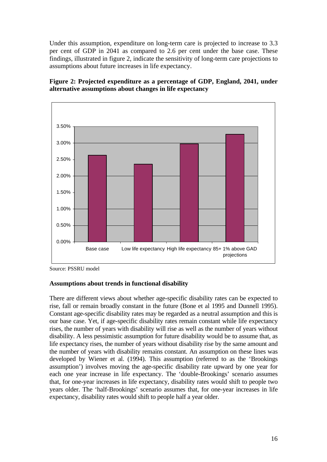Under this assumption, expenditure on long-term care is projected to increase to 3.3 per cent of GDP in 2041 as compared to 2.6 per cent under the base case. These findings, illustrated in figure 2, indicate the sensitivity of long-term care projections to assumptions about future increases in life expectancy.





Source: PSSRU model

### **Assumptions about trends in functional disability**

There are different views about whether age-specific disability rates can be expected to rise, fall or remain broadly constant in the future (Bone et al 1995 and Dunnell 1995). Constant age-specific disability rates may be regarded as a neutral assumption and this is our base case. Yet, if age-specific disability rates remain constant while life expectancy rises, the number of years with disability will rise as well as the number of years without disability. A less pessimistic assumption for future disability would be to assume that, as life expectancy rises, the number of years without disability rise by the same amount and the number of years with disability remains constant. An assumption on these lines was developed by Wiener et al. (1994). This assumption (referred to as the 'Brookings assumption') involves moving the age-specific disability rate upward by one year for each one year increase in life expectancy. The 'double-Brookings' scenario assumes that, for one-year increases in life expectancy, disability rates would shift to people two years older. The 'half-Brookings' scenario assumes that, for one-year increases in life expectancy, disability rates would shift to people half a year older.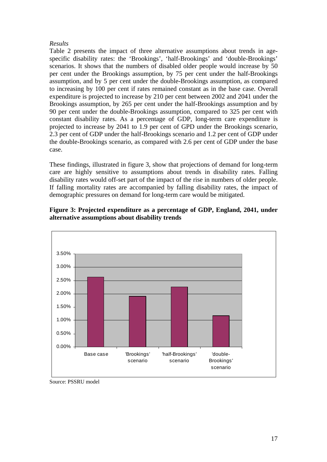## *Results*

Table 2 presents the impact of three alternative assumptions about trends in agespecific disability rates: the 'Brookings', 'half-Brookings' and 'double-Brookings' scenarios. It shows that the numbers of disabled older people would increase by 50 per cent under the Brookings assumption, by 75 per cent under the half-Brookings assumption, and by 5 per cent under the double-Brookings assumption, as compared to increasing by 100 per cent if rates remained constant as in the base case. Overall expenditure is projected to increase by 210 per cent between 2002 and 2041 under the Brookings assumption, by 265 per cent under the half-Brookings assumption and by 90 per cent under the double-Brookings assumption, compared to 325 per cent with constant disability rates. As a percentage of GDP, long-term care expenditure is projected to increase by 2041 to 1.9 per cent of GPD under the Brookings scenario, 2.3 per cent of GDP under the half-Brookings scenario and 1.2 per cent of GDP under the double-Brookings scenario, as compared with 2.6 per cent of GDP under the base case.

These findings, illustrated in figure 3, show that projections of demand for long-term care are highly sensitive to assumptions about trends in disability rates. Falling disability rates would off-set part of the impact of the rise in numbers of older people. If falling mortality rates are accompanied by falling disability rates, the impact of demographic pressures on demand for long-term care would be mitigated.



**Figure 3: Projected expenditure as a percentage of GDP, England, 2041, under alternative assumptions about disability trends**

Source: PSSRU model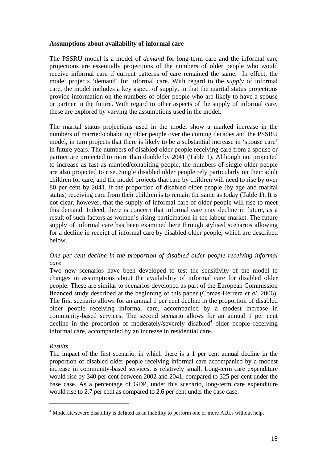### **Assumptions about availability of informal care**

The PSSRU model is a model of *demand* for long-term care and the informal care projections are essentially projections of the numbers of older people who would receive informal care if current patterns of care remained the same. In effect, the model projects 'demand' for informal care. With regard to the *supply* of informal care, the model includes a key aspect of supply, in that the marital status projections provide information on the numbers of older people who are likely to have a spouse or partner in the future. With regard to other aspects of the supply of informal care, these are explored by varying the assumptions used in the model.

The marital status projections used in the model show a marked increase in the numbers of married/cohabiting older people over the coming decades and the PSSRU model, in turn projects that there is likely to be a substantial increase in 'spouse care' in future years. The numbers of disabled older people receiving care from a spouse or partner are projected to more than double by 2041 (Table 1). Although not projected to increase as fast as married/cohabiting people, the numbers of single older people are also projected to rise. Single disabled older people rely particularly on their adult children for care, and the model projects that care by children will need to rise by over 80 per cent by 2041, if the proportion of disabled older people (by age and marital status) receiving care from their children is to remain the same as today (Table 1). It is not clear, however, that the supply of informal care of older people will rise to meet this demand. Indeed, there is concern that informal care may decline in future, as a result of such factors as women's rising participation in the labour market. The future supply of informal care has been examined here through stylised scenarios allowing for a decline in receipt of informal care by disabled older people, which are described below.

## *One per cent decline in the proportion of disabled older people receiving informal care*

Two new scenarios have been developed to test the sensitivity of the model to changes in assumptions about the availability of informal care for disabled older people. These are similar to scenarios developed as part of the European Commission financed study described at the beginning of this paper (Comas-Herrera *et al*, 2006). The first scenario allows for an annual 1 per cent decline in the proportion of disabled older people receiving informal care, accompanied by a modest increase in community-based services. The second scenario allows for an annual 1 per cent decline in the proportion of moderately/severely disabled<sup>[4](#page-18-0)</sup> older people receiving informal care, accompanied by an increase in residential care.

## *Results*

 $\overline{a}$ 

The impact of the first scenario, in which there is a 1 per cent annual decline in the proportion of disabled older people receiving informal care accompanied by a modest increase in community-based services, is relatively small. Long-term care expenditure would rise by 340 per cent between 2002 and 2041, compared to 325 per cent under the base case. As a percentage of GDP, under this scenario, long-term care expenditure would rise to 2.7 per cent as compared to 2.6 per cent under the base case.

<span id="page-18-0"></span><sup>&</sup>lt;sup>4</sup> Moderate/severe disability is defined as an inability to perform one or more ADLs without help.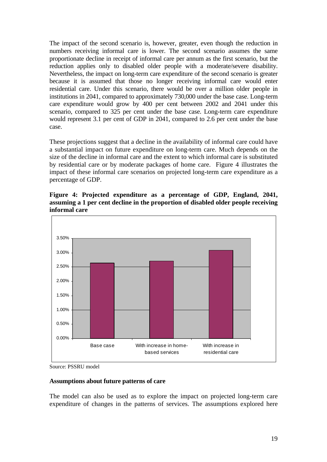The impact of the second scenario is, however, greater, even though the reduction in numbers receiving informal care is lower. The second scenario assumes the same proportionate decline in receipt of informal care per annum as the first scenario, but the reduction applies only to disabled older people with a moderate/severe disability. Nevertheless, the impact on long-term care expenditure of the second scenario is greater because it is assumed that those no longer receiving informal care would enter residential care. Under this scenario, there would be over a million older people in institutions in 2041, compared to approximately 730,000 under the base case. Long-term care expenditure would grow by 400 per cent between 2002 and 2041 under this scenario, compared to 325 per cent under the base case. Long-term care expenditure would represent 3.1 per cent of GDP in 2041, compared to 2.6 per cent under the base case.

These projections suggest that a decline in the availability of informal care could have a substantial impact on future expenditure on long-term care. Much depends on the size of the decline in informal care and the extent to which informal care is substituted by residential care or by moderate packages of home care. Figure 4 illustrates the impact of these informal care scenarios on projected long-term care expenditure as a percentage of GDP.

**Figure 4: Projected expenditure as a percentage of GDP, England, 2041, assuming a 1 per cent decline in the proportion of disabled older people receiving informal care** 



Source: PSSRU model

### **Assumptions about future patterns of care**

The model can also be used as to explore the impact on projected long-term care expenditure of changes in the patterns of services. The assumptions explored here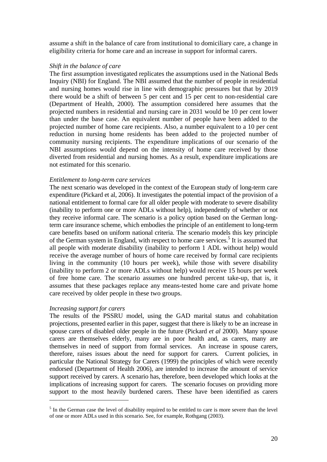assume a shift in the balance of care from institutional to domiciliary care, a change in eligibility criteria for home care and an increase in support for informal carers.

#### *Shift in the balance of care*

The first assumption investigated replicates the assumptions used in the National Beds Inquiry (NBI) for England. The NBI assumed that the number of people in residential and nursing homes would rise in line with demographic pressures but that by 2019 there would be a shift of between 5 per cent and 15 per cent to non-residential care (Department of Health, 2000). The assumption considered here assumes that the projected numbers in residential and nursing care in 2031 would be 10 per cent lower than under the base case. An equivalent number of people have been added to the projected number of home care recipients. Also, a number equivalent to a 10 per cent reduction in nursing home residents has been added to the projected number of community nursing recipients. The expenditure implications of our scenario of the NBI assumptions would depend on the intensity of home care received by those diverted from residential and nursing homes. As a result, expenditure implications are not estimated for this scenario.

#### *Entitlement to long-term care services*

The next scenario was developed in the context of the European study of long-term care expenditure (Pickard et al, 2006). It investigates the potential impact of the provision of a national entitlement to formal care for all older people with moderate to severe disability (inability to perform one or more ADLs without help), independently of whether or not they receive informal care. The scenario is a policy option based on the German longterm care insurance scheme, which embodies the principle of an entitlement to long-term care benefits based on uniform national criteria. The scenario models this key principle of the German system in England, with respect to home care services.<sup>[5](#page-20-0)</sup> It is assumed that all people with moderate disability (inability to perform 1 ADL without help) would receive the average number of hours of home care received by formal care recipients living in the community (10 hours per week), while those with severe disability (inability to perform 2 or more ADLs without help) would receive 15 hours per week of free home care. The scenario assumes one hundred percent take-up, that is, it assumes that these packages replace any means-tested home care and private home care received by older people in these two groups.

#### *Increasing support for carers*

 $\overline{a}$ 

The results of the PSSRU model, using the GAD marital status and cohabitation projections, presented earlier in this paper, suggest that there is likely to be an increase in spouse carers of disabled older people in the future (Pickard *et al* 2000). Many spouse carers are themselves elderly, many are in poor health and, as carers, many are themselves in need of support from formal services. An increase in spouse carers, therefore, raises issues about the need for support for carers. Current policies, in particular the National Strategy for Carers (1999) the principles of which were recently endorsed (Department of Health 2006), are intended to increase the amount of service support received by carers. A scenario has, therefore, been developed which looks at the implications of increasing support for carers. The scenario focuses on providing more support to the most heavily burdened carers. These have been identified as carers

<span id="page-20-0"></span> $<sup>5</sup>$  In the German case the level of disability required to be entitled to care is more severe than the level</sup> of one or more ADLs used in this scenario. See, for example, Rothgang (2003).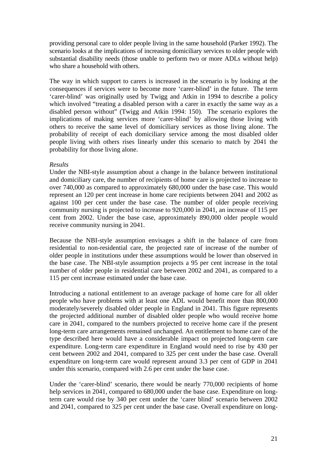providing personal care to older people living in the same household (Parker 1992). The scenario looks at the implications of increasing domiciliary services to older people with substantial disability needs (those unable to perform two or more ADLs without help) who share a household with others.

The way in which support to carers is increased in the scenario is by looking at the consequences if services were to become more 'carer-blind' in the future. The term 'carer-blind' was originally used by Twigg and Atkin in 1994 to describe a policy which involved "treating a disabled person with a carer in exactly the same way as a disabled person without" (Twigg and Atkin 1994: 150). The scenario explores the implications of making services more 'carer-blind' by allowing those living with others to receive the same level of domiciliary services as those living alone. The probability of receipt of each domiciliary service among the most disabled older people living with others rises linearly under this scenario to match by 2041 the probability for those living alone.

#### *Results*

Under the NBI-style assumption about a change in the balance between institutional and domiciliary care, the number of recipients of home care is projected to increase to over 740,000 as compared to approximately 680,000 under the base case. This would represent an 120 per cent increase in home care recipients between 2041 and 2002 as against 100 per cent under the base case. The number of older people receiving community nursing is projected to increase to 920,000 in 2041, an increase of 115 per cent from 2002. Under the base case, approximately 890,000 older people would receive community nursing in 2041.

Because the NBI-style assumption envisages a shift in the balance of care from residential to non-residential care, the projected rate of increase of the number of older people in institutions under these assumptions would be lower than observed in the base case. The NBI-style assumption projects a 95 per cent increase in the total number of older people in residential care between 2002 and 2041, as compared to a 115 per cent increase estimated under the base case.

Introducing a national entitlement to an average package of home care for all older people who have problems with at least one ADL would benefit more than 800,000 moderately/severely disabled older people in England in 2041. This figure represents the projected additional number of disabled older people who would receive home care in 2041, compared to the numbers projected to receive home care if the present long-term care arrangements remained unchanged. An entitlement to home care of the type described here would have a considerable impact on projected long-term care expenditure. Long-term care expenditure in England would need to rise by 430 per cent between 2002 and 2041, compared to 325 per cent under the base case. Overall expenditure on long-term care would represent around 3.3 per cent of GDP in 2041 under this scenario, compared with 2.6 per cent under the base case.

Under the 'carer-blind' scenario, there would be nearly 770,000 recipients of home help services in 2041, compared to 680,000 under the base case. Expenditure on longterm care would rise by 340 per cent under the 'carer blind' scenario between 2002 and 2041, compared to 325 per cent under the base case. Overall expenditure on long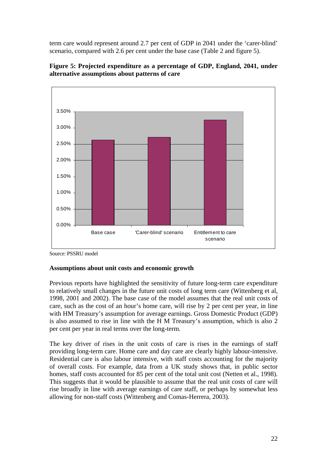term care would represent around 2.7 per cent of GDP in 2041 under the 'carer-blind' scenario, compared with 2.6 per cent under the base case (Table 2 and figure 5).



**Figure 5: Projected expenditure as a percentage of GDP, England, 2041, under alternative assumptions about patterns of care** 

### **Assumptions about unit costs and economic growth**

Previous reports have highlighted the sensitivity of future long-term care expenditure to relatively small changes in the future unit costs of long term care (Wittenberg et al, 1998, 2001 and 2002). The base case of the model assumes that the real unit costs of care, such as the cost of an hour's home care, will rise by 2 per cent per year, in line with HM Treasury's assumption for average earnings. Gross Domestic Product (GDP) is also assumed to rise in line with the H M Treasury's assumption, which is also 2 per cent per year in real terms over the long-term.

The key driver of rises in the unit costs of care is rises in the earnings of staff providing long-term care. Home care and day care are clearly highly labour-intensive. Residential care is also labour intensive, with staff costs accounting for the majority of overall costs. For example, data from a UK study shows that, in public sector homes, staff costs accounted for 85 per cent of the total unit cost (Netten et al., 1998). This suggests that it would be plausible to assume that the real unit costs of care will rise broadly in line with average earnings of care staff, or perhaps by somewhat less allowing for non-staff costs (Wittenberg and Comas-Herrera, 2003).

Source: PSSRU model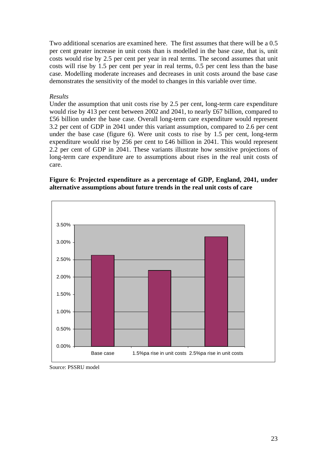Two additional scenarios are examined here. The first assumes that there will be a 0.5 per cent greater increase in unit costs than is modelled in the base case, that is, unit costs would rise by 2.5 per cent per year in real terms. The second assumes that unit costs will rise by 1.5 per cent per year in real terms, 0.5 per cent less than the base case. Modelling moderate increases and decreases in unit costs around the base case demonstrates the sensitivity of the model to changes in this variable over time.

### *Results*

Under the assumption that unit costs rise by 2.5 per cent, long-term care expenditure would rise by 413 per cent between 2002 and 2041, to nearly £67 billion, compared to £56 billion under the base case. Overall long-term care expenditure would represent 3.2 per cent of GDP in 2041 under this variant assumption, compared to 2.6 per cent under the base case (figure 6). Were unit costs to rise by 1.5 per cent, long-term expenditure would rise by 256 per cent to £46 billion in 2041. This would represent 2.2 per cent of GDP in 2041. These variants illustrate how sensitive projections of long-term care expenditure are to assumptions about rises in the real unit costs of care.

### **Figure 6: Projected expenditure as a percentage of GDP, England, 2041, under alternative assumptions about future trends in the real unit costs of care**



Source: PSSRU model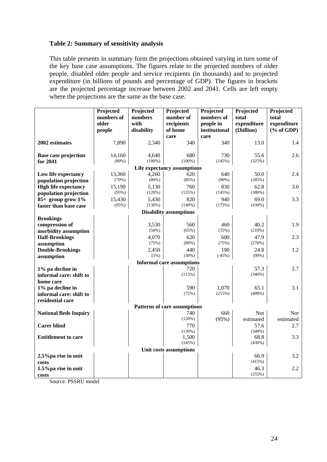### **Table 2: Summary of sensitivity analysis**

This table presents in summary form the projections obtained varying in turn some of the key base case assumptions. The figures relate to the projected numbers of older people, disabled older people and service recipients (in thousands) and to projected expenditure (in billions of pounds and percentage of GDP). The figures in brackets are the projected percentage increase between 2002 and 2041. Cells are left empty where the projections are the same as the base case.

|                                  | Projected  | Projected  | Projected                     | Projected     | Projected      | Projected                   |  |  |  |  |  |  |
|----------------------------------|------------|------------|-------------------------------|---------------|----------------|-----------------------------|--|--|--|--|--|--|
|                                  | numbers of | numbers    | number of                     | numbers of    | total          | total                       |  |  |  |  |  |  |
|                                  | older      | with       | recipients                    | people in     | expenditure    | expenditure                 |  |  |  |  |  |  |
|                                  | people     | disability | of home                       | institutional | (£billion)     | $(% \mathbf{A})$ (% of GDP) |  |  |  |  |  |  |
|                                  |            |            | care                          | care          |                |                             |  |  |  |  |  |  |
| 2002 estimates                   | 7,890      | 2,340      | 340                           | 340           | 13.0           | 1.4                         |  |  |  |  |  |  |
| <b>Base case projection</b>      | 14,160     | 4,640      | 680                           | 730           | 55.6           | 2.6                         |  |  |  |  |  |  |
| for 2041                         | (80%)      | $(100\%)$  | $(100\%)$                     | (145%)        | (325%)         |                             |  |  |  |  |  |  |
| Life expectancy assumptions      |            |            |                               |               |                |                             |  |  |  |  |  |  |
| Low life expectancy              | 13,360     | 4,260      | 620                           | 640           | 50.0           | 2.4                         |  |  |  |  |  |  |
| population projection            | (70%)      | $(80\%)$   | (85%)                         | $(90\%)$      | (285%)         |                             |  |  |  |  |  |  |
| <b>High life expectancy</b>      | 15,190     | 5,130      | 760                           | 830           | 62.8           | 3.0                         |  |  |  |  |  |  |
| population projection            | (95%)      | (120%)     | (125%)                        | (145%)        | (380%)         |                             |  |  |  |  |  |  |
| $85+$ group grow $1\%$           | 15,430     | 5.430      | 820                           | 940           | 69.0           | 3.3                         |  |  |  |  |  |  |
| faster than base case            | (95%)      | (130%)     | (140%)                        | (175%)        | (430%)         |                             |  |  |  |  |  |  |
|                                  |            |            | <b>Disability assumptions</b> |               |                |                             |  |  |  |  |  |  |
| <b>Brookings</b>                 |            |            |                               |               |                |                             |  |  |  |  |  |  |
| compression of                   |            | 3,530      | 560                           | 460           | 40.2           | 1.9                         |  |  |  |  |  |  |
| morbidity assumption             |            | $(50\%)$   | (65%)                         | (35%)         | (210%)         |                             |  |  |  |  |  |  |
| <b>Half-Brookings</b>            |            | 4,070      | 620                           | 600           | 47.9           | 2.3                         |  |  |  |  |  |  |
| assumption                       |            | (75%)      | (80%)                         | (75%)         | (270%)         |                             |  |  |  |  |  |  |
| <b>Double-Brookings</b>          |            | 2,450      | 440                           | 190           | 24.8           | 1.2                         |  |  |  |  |  |  |
| assumption                       |            | (5%)       | (30%)                         | $(-45%)$      | (90%)          |                             |  |  |  |  |  |  |
| <b>Informal care assumptions</b> |            |            |                               |               |                |                             |  |  |  |  |  |  |
| $1\%$ pa decline in              |            |            | 720                           |               | 57.3           | 2.7                         |  |  |  |  |  |  |
| informal care: shift to          |            |            | (115%)                        |               | (340%)         |                             |  |  |  |  |  |  |
| home care                        |            |            |                               |               |                |                             |  |  |  |  |  |  |
| 1% pa decline in                 |            |            | 590                           | 1,070         | 65.1           | 3.1                         |  |  |  |  |  |  |
| informal care: shift to          |            |            | (75%)                         | (215%)        | $(400\%)$      |                             |  |  |  |  |  |  |
| residential care                 |            |            |                               |               |                |                             |  |  |  |  |  |  |
|                                  |            |            | Patterns of care assumptions  |               |                |                             |  |  |  |  |  |  |
| <b>National Beds Inquiry</b>     |            |            | 740                           | 660           | <b>Not</b>     | Not                         |  |  |  |  |  |  |
|                                  |            |            | (120%)                        | (95%)         | estimated      | estimated                   |  |  |  |  |  |  |
| <b>Carer blind</b>               |            |            | 770                           |               | 57.6           | 2.7                         |  |  |  |  |  |  |
|                                  |            |            | (130%)                        |               | (340%)         |                             |  |  |  |  |  |  |
| <b>Entitlement to care</b>       |            |            | 1,500                         |               | 68.8           | 3.3                         |  |  |  |  |  |  |
|                                  |            |            | (345%)                        |               | (430%)         |                             |  |  |  |  |  |  |
| Unit costs assumptions<br>66.9   |            |            |                               |               |                |                             |  |  |  |  |  |  |
| 2.5% pa rise in unit             |            |            |                               |               | (415%)         | 3.2                         |  |  |  |  |  |  |
| costs                            |            |            |                               |               |                |                             |  |  |  |  |  |  |
| 1.5% pa rise in unit             |            |            |                               |               | 46.3<br>(255%) | 2.2                         |  |  |  |  |  |  |
| costs                            |            |            |                               |               |                |                             |  |  |  |  |  |  |

Source: PSSRU model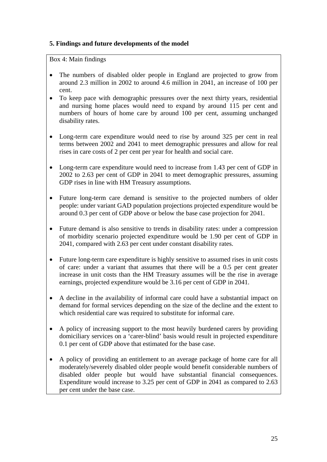## **5. Findings and future developments of the model**

Box 4: Main findings

- The numbers of disabled older people in England are projected to grow from around 2.3 million in 2002 to around 4.6 million in 2041, an increase of 100 per cent.
- To keep pace with demographic pressures over the next thirty years, residential and nursing home places would need to expand by around 115 per cent and numbers of hours of home care by around 100 per cent, assuming unchanged disability rates.
- Long-term care expenditure would need to rise by around 325 per cent in real terms between 2002 and 2041 to meet demographic pressures and allow for real rises in care costs of 2 per cent per year for health and social care.
- Long-term care expenditure would need to increase from 1.43 per cent of GDP in 2002 to 2.63 per cent of GDP in 2041 to meet demographic pressures, assuming GDP rises in line with HM Treasury assumptions.
- Future long-term care demand is sensitive to the projected numbers of older people: under variant GAD population projections projected expenditure would be around 0.3 per cent of GDP above or below the base case projection for 2041.
- Future demand is also sensitive to trends in disability rates: under a compression of morbidity scenario projected expenditure would be 1.90 per cent of GDP in 2041, compared with 2.63 per cent under constant disability rates.
- Future long-term care expenditure is highly sensitive to assumed rises in unit costs of care: under a variant that assumes that there will be a 0.5 per cent greater increase in unit costs than the HM Treasury assumes will be the rise in average earnings, projected expenditure would be 3.16 per cent of GDP in 2041.
- A decline in the availability of informal care could have a substantial impact on demand for formal services depending on the size of the decline and the extent to which residential care was required to substitute for informal care.
- A policy of increasing support to the most heavily burdened carers by providing domiciliary services on a 'carer-blind' basis would result in projected expenditure 0.1 per cent of GDP above that estimated for the base case.
- A policy of providing an entitlement to an average package of home care for all moderately/severely disabled older people would benefit considerable numbers of disabled older people but would have substantial financial consequences. Expenditure would increase to 3.25 per cent of GDP in 2041 as compared to 2.63 per cent under the base case.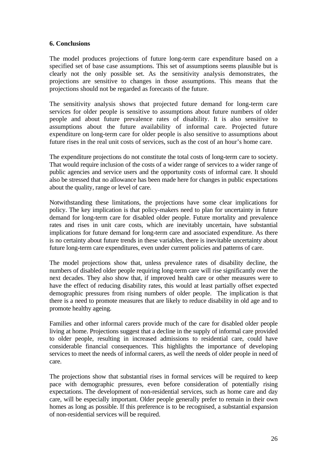### **6. Conclusions**

The model produces projections of future long-term care expenditure based on a specified set of base case assumptions. This set of assumptions seems plausible but is clearly not the only possible set. As the sensitivity analysis demonstrates, the projections are sensitive to changes in those assumptions. This means that the projections should not be regarded as forecasts of the future.

The sensitivity analysis shows that projected future demand for long-term care services for older people is sensitive to assumptions about future numbers of older people and about future prevalence rates of disability. It is also sensitive to assumptions about the future availability of informal care. Projected future expenditure on long-term care for older people is also sensitive to assumptions about future rises in the real unit costs of services, such as the cost of an hour's home care.

The expenditure projections do not constitute the total costs of long-term care to society. That would require inclusion of the costs of a wider range of services to a wider range of public agencies and service users and the opportunity costs of informal care. It should also be stressed that no allowance has been made here for changes in public expectations about the quality, range or level of care.

Notwithstanding these limitations, the projections have some clear implications for policy. The key implication is that policy-makers need to plan for uncertainty in future demand for long-term care for disabled older people. Future mortality and prevalence rates and rises in unit care costs, which are inevitably uncertain, have substantial implications for future demand for long-term care and associated expenditure. As there is no certainty about future trends in these variables, there is inevitable uncertainty about future long-term care expenditures, even under current policies and patterns of care.

The model projections show that, unless prevalence rates of disability decline, the numbers of disabled older people requiring long-term care will rise significantly over the next decades. They also show that, if improved health care or other measures were to have the effect of reducing disability rates, this would at least partially offset expected demographic pressures from rising numbers of older people. The implication is that there is a need to promote measures that are likely to reduce disability in old age and to promote healthy ageing.

Families and other informal carers provide much of the care for disabled older people living at home. Projections suggest that a decline in the supply of informal care provided to older people, resulting in increased admissions to residential care, could have considerable financial consequences. This highlights the importance of developing services to meet the needs of informal carers, as well the needs of older people in need of care.

The projections show that substantial rises in formal services will be required to keep pace with demographic pressures, even before consideration of potentially rising expectations. The development of non-residential services, such as home care and day care, will be especially important. Older people generally prefer to remain in their own homes as long as possible. If this preference is to be recognised, a substantial expansion of non-residential services will be required.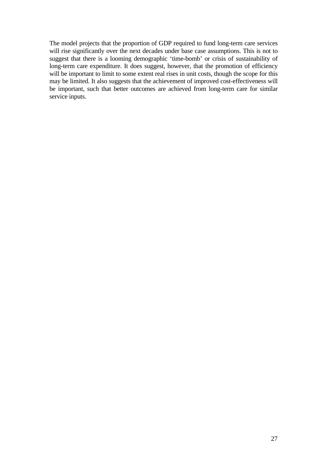The model projects that the proportion of GDP required to fund long-term care services will rise significantly over the next decades under base case assumptions. This is not to suggest that there is a looming demographic 'time-bomb' or crisis of sustainability of long-term care expenditure. It does suggest, however, that the promotion of efficiency will be important to limit to some extent real rises in unit costs, though the scope for this may be limited. It also suggests that the achievement of improved cost-effectiveness will be important, such that better outcomes are achieved from long-term care for similar service inputs.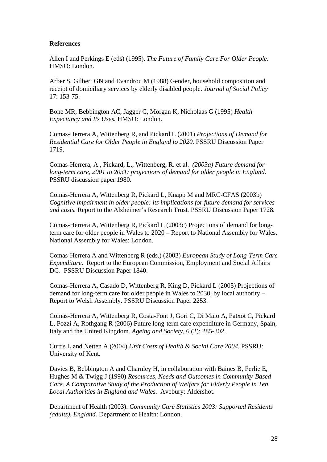### **References**

Allen I and Perkings E (eds) (1995). *The Future of Family Care For Older People*. HMSO: London.

Arber S, Gilbert GN and Evandrou M (1988) Gender, household composition and receipt of domiciliary services by elderly disabled people. *Journal of Social Policy* 17: 153-75.

Bone MR, Bebbington AC, Jagger C, Morgan K, Nicholaas G (1995) *Health Expectancy and Its Uses.* HMSO: London.

Comas-Herrera A, Wittenberg R, and Pickard L (2001) *Projections of Demand for Residential Care for Older People in England to 2020.* PSSRU Discussion Paper 1719.

Comas-Herrera, A., Pickard, L., Wittenberg, R. et al. *(2003a) Future demand for long-term care, 2001 to 2031: projections of demand for older people in England*. PSSRU discussion paper 1980.

Comas-Herrera A, Wittenberg R, Pickard L, Knapp M and MRC-CFAS (2003b) *Cognitive impairment in older people: its implications for future demand for services and costs.* Report to the Alzheimer's Research Trust*.* PSSRU Discussion Paper 1728*.* 

Comas-Herrera A, Wittenberg R, Pickard L (2003c) Projections of demand for longterm care for older people in Wales to 2020 – Report to National Assembly for Wales. National Assembly for Wales: London.

Comas-Herrera A and Wittenberg R (eds.) (2003) *European Study of Long-Term Care Expenditure.* Report to the European Commission, Employment and Social Affairs DG. PSSRU Discussion Paper 1840.

Comas-Herrera A, Casado D, Wittenberg R, King D, Pickard L (2005) Projections of demand for long-term care for older people in Wales to 2030, by local authority – Report to Welsh Assembly. PSSRU Discussion Paper 2253.

Comas-Herrera A, Wittenberg R, Costa-Font J, Gori C, Di Maio A, Patxot C, Pickard L, Pozzi A, Rothgang R (2006) Future long-term care expenditure in Germany, Spain, Italy and the United Kingdom. *Ageing and Society*, 6 (2): 285-302.

Curtis L and Netten A (2004) *Unit Costs of Health & Social Care 2004.* PSSRU: University of Kent.

Davies B, Bebbington A and Charnley H, in collaboration with Baines B, Ferlie E, Hughes M & Twigg J (1990) *Resources, Needs and Outcomes in Community-Based Care. A Comparative Study of the Production of Welfare for Elderly People in Ten Local Authorities in England and Wales.* Avebury: Aldershot.

Department of Health (2003). *Community Care Statistics 2003: Supported Residents (adults), England.* Department of Health: London.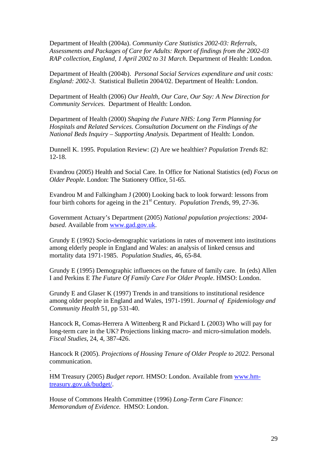Department of Health (2004a). *Community Care Statistics 2002-03: Referrals, Assessments and Packages of Care for Adults: Report of findings from the 2002-03 RAP collection, England, 1 April 2002 to 31 March*. Department of Health: London.

Department of Health (2004b). *Personal Social Services expenditure and unit costs: England: 2002-3.* Statistical Bulletin 2004/02. Department of Health: London.

Department of Health (2006) *Our Health, Our Care, Our Say: A New Direction for Community Services.* Department of Health: London.

Department of Health (2000) *Shaping the Future NHS: Long Term Planning for Hospitals and Related Services. Consultation Document on the Findings of the National Beds Inquiry – Supporting Analysis.* Department of Health: London.

Dunnell K. 1995. Population Review: (2) Are we healthier? *Population Trends* 82: 12-18.

Evandrou (2005) Health and Social Care. In Office for National Statistics (ed) *Focus on Older People*. London: The Stationery Office, 51-65.

Evandrou M and Falkingham J (2000) Looking back to look forward: lessons from four birth cohorts for ageing in the 21st Century. *Population Trends*, 99, 27-36.

Government Actuary's Department (2005) *National population projections: 2004 based*. Available from [www.gad.gov.uk](http://www.gad.gov.uk/).

Grundy E (1992) Socio-demographic variations in rates of movement into institutions among elderly people in England and Wales: an analysis of linked census and mortality data 1971-1985. *Population Studies*, 46, 65-84.

Grundy E (1995) Demographic influences on the future of family care. In (eds) Allen I and Perkins E *The Future Of Family Care For Older People*. HMSO: London.

Grundy E and Glaser K (1997) Trends in and transitions to institutional residence among older people in England and Wales, 1971-1991*. Journal of Epidemiology and Community Health* 51, pp 531-40.

Hancock R, Comas-Herrera A Wittenberg R and Pickard L (2003) Who will pay for long-term care in the UK? Projections linking macro- and micro-simulation models. *Fiscal Studies*, 24, 4, 387-426.

Hancock R (2005). *Projections of Housing Tenure of Older People to 2022*. Personal communication.

HM Treasury (2005) *Budget report*. HMSO: London. Available from [www.hm](http://www.hm-treasury.gov.uk/budget/bud-bud03)[treasury.gov.uk/budget/.](http://www.hm-treasury.gov.uk/budget/bud-bud03)

House of Commons Health Committee (1996) *Long-Term Care Finance: Memorandum of Evidence.* HMSO: London.

.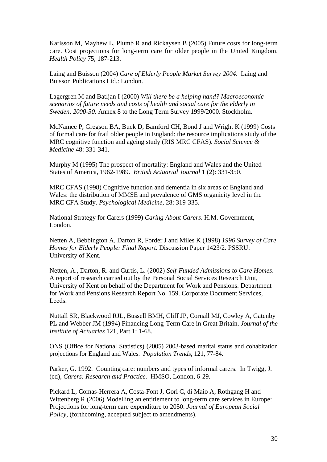Karlsson M, Mayhew L, Plumb R and Rickaysen B (2005) Future costs for long-term care. Cost projections for long-term care for older people in the United Kingdom. *Health Policy* 75, 187-213.

Laing and Buisson (2004) *Care of Elderly People Market Survey 2004*. Laing and Buisson Publications Ltd.: London.

Lagergren M and Batljan I (2000) *Will there be a helping hand? Macroeconomic scenarios of future needs and costs of health and social care for the elderly in Sweden, 2000-30*. Annex 8 to the Long Term Survey 1999/2000. Stockholm.

McNamee P, Gregson BA, Buck D, Bamford CH, Bond J and Wright K (1999) Costs of formal care for frail older people in England: the resource implications study of the MRC cognitive function and ageing study (RIS MRC CFAS). *Social Science & Medicine* 48: 331-341.

Murphy M (1995) The prospect of mortality: England and Wales and the United States of America, 1962-1989. *British Actuarial Journal* 1 (2): 331-350.

MRC CFAS (1998) Cognitive function and dementia in six areas of England and Wales: the distribution of MMSE and prevalence of GMS organicity level in the MRC CFA Study. *Psychological Medicine*, 28: 319-335.

National Strategy for Carers (1999) *Caring About Carers*. H.M. Government, London.

Netten A, Bebbington A, Darton R, Forder J and Miles K (1998) *1996 Survey of Care Homes for Elderly People: Final Report.* Discussion Paper 1423/2. PSSRU: University of Kent.

Netten, A., Darton, R. and Curtis, L. (2002) *Self-Funded Admissions to Care Homes*. A report of research carried out by the Personal Social Services Research Unit, University of Kent on behalf of the Department for Work and Pensions. Department for Work and Pensions Research Report No. 159. Corporate Document Services, Leeds.

Nuttall SR, Blackwood RJL, Bussell BMH, Cliff JP, Cornall MJ, Cowley A, Gatenby PL and Webber JM (1994) Financing Long-Term Care in Great Britain. *Journal of the Institute of Actuaries* 121, Part 1: 1-68.

ONS (Office for National Statistics) (2005) 2003-based marital status and cohabitation projections for England and Wales. *Population Trends*, 121, 77-84.

Parker, G. 1992. Counting care: numbers and types of informal carers. In Twigg, J. (ed), *Carers: Research and Practice.* HMSO, London, 6-29.

Pickard L, Comas-Herrera A, Costa-Font J, Gori C, di Maio A, Rothgang H and Wittenberg R (2006) Modelling an entitlement to long-term care services in Europe: Projections for long-term care expenditure to 2050. *Journal of European Social Policy*, (forthcoming, accepted subject to amendments).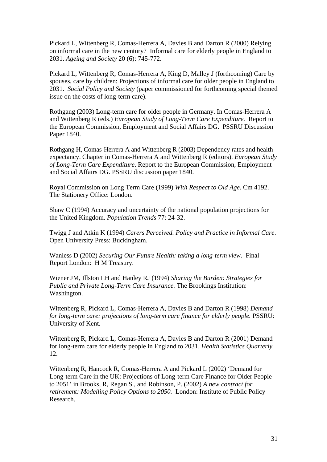Pickard L, Wittenberg R, Comas-Herrera A, Davies B and Darton R (2000) Relying on informal care in the new century? Informal care for elderly people in England to 2031. *Ageing and Society* 20 (6): 745-772.

Pickard L, Wittenberg R, Comas-Herrera A, King D, Malley J (forthcoming) Care by spouses, care by children: Projections of informal care for older people in England to 2031. *Social Policy and Society* (paper commissioned for forthcoming special themed issue on the costs of long-term care).

Rothgang (2003) Long-term care for older people in Germany. In Comas-Herrera A and Wittenberg R (eds.) *European Study of Long-Term Care Expenditure.* Report to the European Commission, Employment and Social Affairs DG. PSSRU Discussion Paper 1840.

Rothgang H, Comas-Herrera A and Wittenberg R (2003) Dependency rates and health expectancy. Chapter in Comas-Herrera A and Wittenberg R (editors). *European Study of Long-Term Care Expenditure*. Report to the European Commission, Employment and Social Affairs DG. PSSRU discussion paper 1840.

Royal Commission on Long Term Care (1999) *With Respect to Old Age.* Cm 4192. The Stationery Office: London.

Shaw C (1994) Accuracy and uncertainty of the national population projections for the United Kingdom. *Population Trends* 77: 24-32.

Twigg J and Atkin K (1994) *Carers Perceived. Policy and Practice in Informal Care*. Open University Press: Buckingham.

Wanless D (2002) *Securing Our Future Health: taking a long-term view.* Final Report London: H M Treasury.

Wiener JM, Illston LH and Hanley RJ (1994) *Sharing the Burden: Strategies for Public and Private Long-Term Care Insurance.* The Brookings Institution: Washington.

Wittenberg R, Pickard L, Comas-Herrera A, Davies B and Darton R (1998) *Demand for long-term care: projections of long-term care finance for elderly people.* PSSRU: University of Kent*.*

Wittenberg R, Pickard L, Comas-Herrera A, Davies B and Darton R (2001) Demand for long-term care for elderly people in England to 2031. *Health Statistics Quarterly* 12.

Wittenberg R, Hancock R, Comas-Herrera A and Pickard L (2002) 'Demand for Long-term Care in the UK: Projections of Long-term Care Finance for Older People to 2051' in Brooks, R, Regan S., and Robinson, P. (2002) *A new contract for retirement: Modelling Policy Options to 2050.* London: Institute of Public Policy Research.